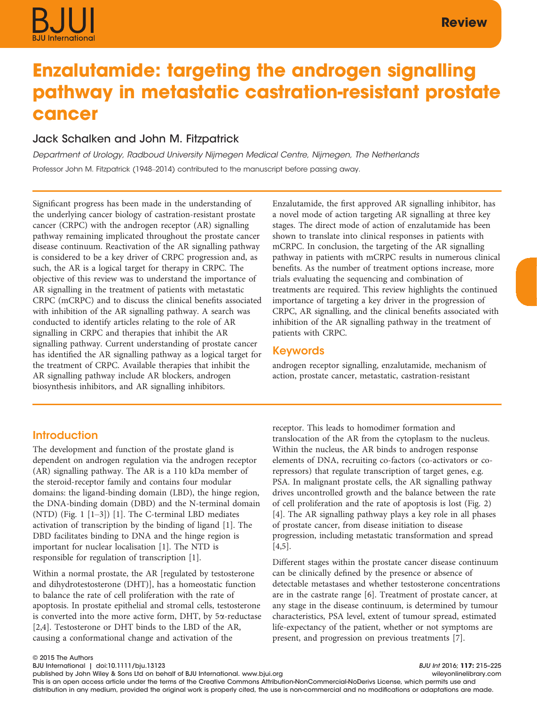# Enzalutamide: targeting the androgen signalling pathway in metastatic castration-resistant prostate cancer

## Jack Schalken and John M. Fitzpatrick

Department of Urology, Radboud University Nijmegen Medical Centre, Nijmegen, The Netherlands Professor John M. Fitzpatrick (1948–2014) contributed to the manuscript before passing away.

Significant progress has been made in the understanding of the underlying cancer biology of castration-resistant prostate cancer (CRPC) with the androgen receptor (AR) signalling pathway remaining implicated throughout the prostate cancer disease continuum. Reactivation of the AR signalling pathway is considered to be a key driver of CRPC progression and, as such, the AR is a logical target for therapy in CRPC. The objective of this review was to understand the importance of AR signalling in the treatment of patients with metastatic CRPC (mCRPC) and to discuss the clinical benefits associated with inhibition of the AR signalling pathway. A search was conducted to identify articles relating to the role of AR signalling in CRPC and therapies that inhibit the AR signalling pathway. Current understanding of prostate cancer has identified the AR signalling pathway as a logical target for the treatment of CRPC. Available therapies that inhibit the AR signalling pathway include AR blockers, androgen biosynthesis inhibitors, and AR signalling inhibitors.

Enzalutamide, the first approved AR signalling inhibitor, has a novel mode of action targeting AR signalling at three key stages. The direct mode of action of enzalutamide has been shown to translate into clinical responses in patients with mCRPC. In conclusion, the targeting of the AR signalling pathway in patients with mCRPC results in numerous clinical benefits. As the number of treatment options increase, more trials evaluating the sequencing and combination of treatments are required. This review highlights the continued importance of targeting a key driver in the progression of CRPC, AR signalling, and the clinical benefits associated with inhibition of the AR signalling pathway in the treatment of patients with CRPC.

## Keywords

androgen receptor signalling, enzalutamide, mechanism of action, prostate cancer, metastatic, castration-resistant

## **Introduction**

© 2015 The Authors

The development and function of the prostate gland is dependent on androgen regulation via the androgen receptor (AR) signalling pathway. The AR is a 110 kDa member of the steroid-receptor family and contains four modular domains: the ligand-binding domain (LBD), the hinge region, the DNA-binding domain (DBD) and the N-terminal domain (NTD) (Fig. 1 [1–3]) [1]. The C-terminal LBD mediates activation of transcription by the binding of ligand [1]. The DBD facilitates binding to DNA and the hinge region is important for nuclear localisation [1]. The NTD is responsible for regulation of transcription [1].

Within a normal prostate, the AR [regulated by testosterone and dihydrotestosterone (DHT)], has a homeostatic function to balance the rate of cell proliferation with the rate of apoptosis. In prostate epithelial and stromal cells, testosterone is converted into the more active form, DHT, by  $5\alpha$ -reductase [2,4]. Testosterone or DHT binds to the LBD of the AR, causing a conformational change and activation of the

receptor. This leads to homodimer formation and translocation of the AR from the cytoplasm to the nucleus. Within the nucleus, the AR binds to androgen response elements of DNA, recruiting co-factors (co-activators or corepressors) that regulate transcription of target genes, e.g. PSA. In malignant prostate cells, the AR signalling pathway drives uncontrolled growth and the balance between the rate of cell proliferation and the rate of apoptosis is lost (Fig. 2) [4]. The AR signalling pathway plays a key role in all phases of prostate cancer, from disease initiation to disease progression, including metastatic transformation and spread [4,5].

Different stages within the prostate cancer disease continuum can be clinically defined by the presence or absence of detectable metastases and whether testosterone concentrations are in the castrate range [6]. Treatment of prostate cancer, at any stage in the disease continuum, is determined by tumour characteristics, PSA level, extent of tumour spread, estimated life-expectancy of the patient, whether or not symptoms are present, and progression on previous treatments [7].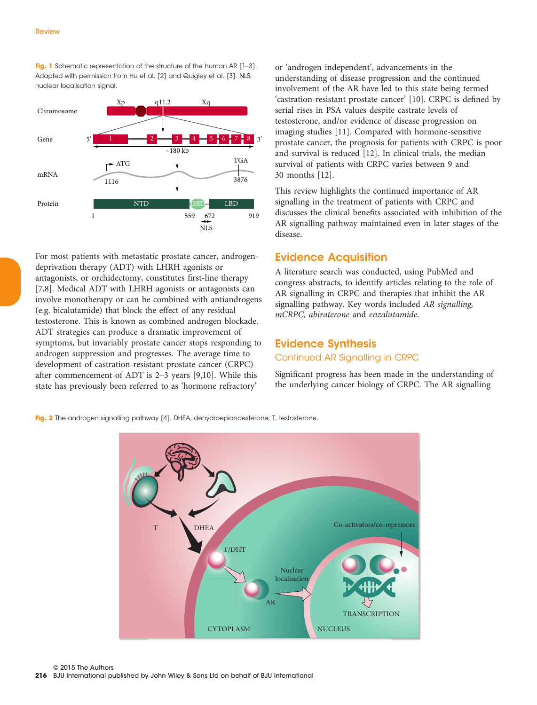Fig. 1 Schematic representation of the structure of the human AR [1-3]. Adapted with permission from Hu et al. [2] and Quigley et al. [3]. NLS, nuclear localisation signal.



For most patients with metastatic prostate cancer, androgendeprivation therapy (ADT) with LHRH agonists or antagonists, or orchidectomy, constitutes first-line therapy [7,8]. Medical ADT with LHRH agonists or antagonists can involve monotherapy or can be combined with antiandrogens (e.g. bicalutamide) that block the effect of any residual testosterone. This is known as combined androgen blockade. ADT strategies can produce a dramatic improvement of symptoms, but invariably prostate cancer stops responding to androgen suppression and progresses. The average time to development of castration-resistant prostate cancer (CRPC) after commencement of ADT is 2–3 years [9,10]. While this state has previously been referred to as 'hormone refractory'

or 'androgen independent', advancements in the understanding of disease progression and the continued involvement of the AR have led to this state being termed 'castration-resistant prostate cancer' [10]. CRPC is defined by serial rises in PSA values despite castrate levels of testosterone, and/or evidence of disease progression on imaging studies [11]. Compared with hormone-sensitive prostate cancer, the prognosis for patients with CRPC is poor and survival is reduced [12]. In clinical trials, the median survival of patients with CRPC varies between 9 and 30 months [12].

This review highlights the continued importance of AR signalling in the treatment of patients with CRPC and discusses the clinical benefits associated with inhibition of the AR signalling pathway maintained even in later stages of the disease.

#### Evidence Acquisition

A literature search was conducted, using PubMed and congress abstracts, to identify articles relating to the role of AR signalling in CRPC and therapies that inhibit the AR signalling pathway. Key words included AR signalling, mCRPC, abiraterone and enzalutamide.

## Evidence Synthesis Continued AR Signalling in CRPC

Significant progress has been made in the understanding of the underlying cancer biology of CRPC. The AR signalling

Fig. 2 The androgen signalling pathway [4]. DHEA, dehydroepiandesterone; T, testosterone.

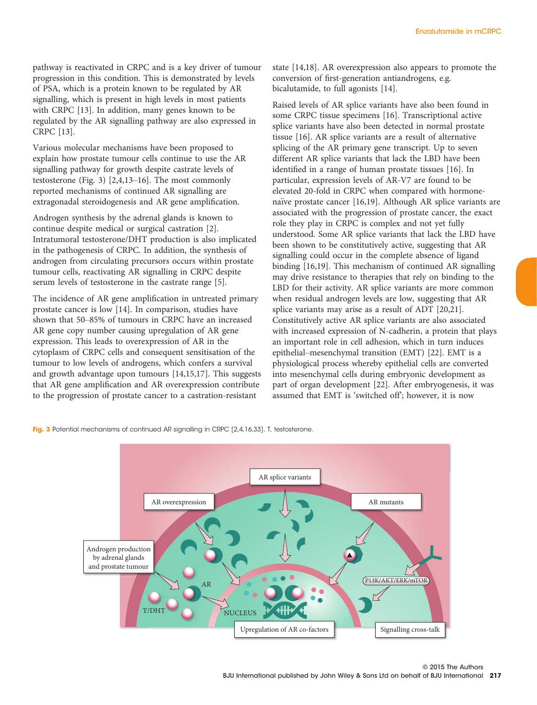pathway is reactivated in CRPC and is a key driver of tumour progression in this condition. This is demonstrated by levels of PSA, which is a protein known to be regulated by AR signalling, which is present in high levels in most patients with CRPC [13]. In addition, many genes known to be regulated by the AR signalling pathway are also expressed in CRPC [13].

Various molecular mechanisms have been proposed to explain how prostate tumour cells continue to use the AR signalling pathway for growth despite castrate levels of testosterone (Fig. 3) [2,4,13–16]. The most commonly reported mechanisms of continued AR signalling are extragonadal steroidogenesis and AR gene amplification.

Androgen synthesis by the adrenal glands is known to continue despite medical or surgical castration [2]. Intratumoral testosterone/DHT production is also implicated in the pathogenesis of CRPC. In addition, the synthesis of androgen from circulating precursors occurs within prostate tumour cells, reactivating AR signalling in CRPC despite serum levels of testosterone in the castrate range [5].

The incidence of AR gene amplification in untreated primary prostate cancer is low [14]. In comparison, studies have shown that 50–85% of tumours in CRPC have an increased AR gene copy number causing upregulation of AR gene expression. This leads to overexpression of AR in the cytoplasm of CRPC cells and consequent sensitisation of the tumour to low levels of androgens, which confers a survival and growth advantage upon tumours [14,15,17]. This suggests that AR gene amplification and AR overexpression contribute to the progression of prostate cancer to a castration-resistant

state [14,18]. AR overexpression also appears to promote the conversion of first-generation antiandrogens, e.g. bicalutamide, to full agonists [14].

Raised levels of AR splice variants have also been found in some CRPC tissue specimens [16]. Transcriptional active splice variants have also been detected in normal prostate tissue [16]. AR splice variants are a result of alternative splicing of the AR primary gene transcript. Up to seven different AR splice variants that lack the LBD have been identified in a range of human prostate tissues [16]. In particular, expression levels of AR-V7 are found to be elevated 20-fold in CRPC when compared with hormonenaïve prostate cancer  $[16,19]$ . Although AR splice variants are associated with the progression of prostate cancer, the exact role they play in CRPC is complex and not yet fully understood. Some AR splice variants that lack the LBD have been shown to be constitutively active, suggesting that AR signalling could occur in the complete absence of ligand binding [16,19]. This mechanism of continued AR signalling may drive resistance to therapies that rely on binding to the LBD for their activity. AR splice variants are more common when residual androgen levels are low, suggesting that AR splice variants may arise as a result of ADT [20,21]. Constitutively active AR splice variants are also associated with increased expression of N-cadherin, a protein that plays an important role in cell adhesion, which in turn induces epithelial–mesenchymal transition (EMT) [22]. EMT is a physiological process whereby epithelial cells are converted into mesenchymal cells during embryonic development as part of organ development [22]. After embryogenesis, it was assumed that EMT is 'switched off'; however, it is now

Fig. 3 Potential mechanisms of continued AR signalling in CRPC [2,4,16,33]. T, testosterone.

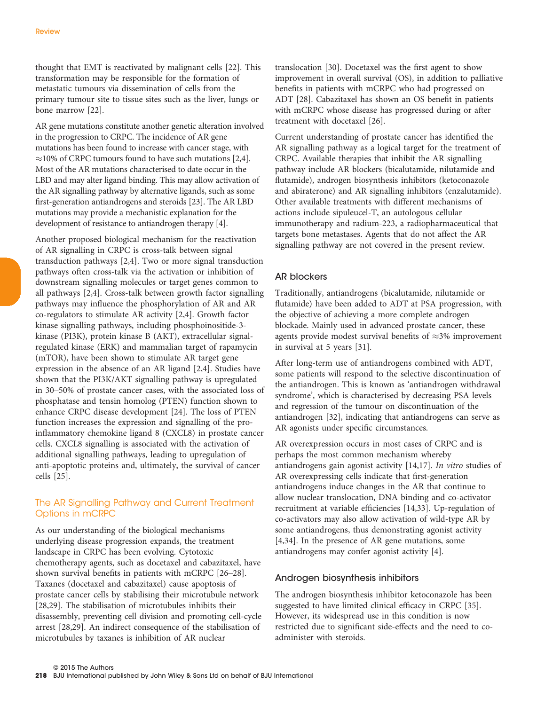thought that EMT is reactivated by malignant cells [22]. This transformation may be responsible for the formation of metastatic tumours via dissemination of cells from the primary tumour site to tissue sites such as the liver, lungs or bone marrow [22].

AR gene mutations constitute another genetic alteration involved in the progression to CRPC. The incidence of AR gene mutations has been found to increase with cancer stage, with  $\approx$ 10% of CRPC tumours found to have such mutations [2,4]. Most of the AR mutations characterised to date occur in the LBD and may alter ligand binding. This may allow activation of the AR signalling pathway by alternative ligands, such as some first-generation antiandrogens and steroids [23]. The AR LBD mutations may provide a mechanistic explanation for the development of resistance to antiandrogen therapy [4].

Another proposed biological mechanism for the reactivation of AR signalling in CRPC is cross-talk between signal transduction pathways [2,4]. Two or more signal transduction pathways often cross-talk via the activation or inhibition of downstream signalling molecules or target genes common to all pathways [2,4]. Cross-talk between growth factor signalling pathways may influence the phosphorylation of AR and AR co-regulators to stimulate AR activity [2,4]. Growth factor kinase signalling pathways, including phosphoinositide-3 kinase (PI3K), protein kinase B (AKT), extracellular signalregulated kinase (ERK) and mammalian target of rapamycin (mTOR), have been shown to stimulate AR target gene expression in the absence of an AR ligand [2,4]. Studies have shown that the PI3K/AKT signalling pathway is upregulated in 30–50% of prostate cancer cases, with the associated loss of phosphatase and tensin homolog (PTEN) function shown to enhance CRPC disease development [24]. The loss of PTEN function increases the expression and signalling of the proinflammatory chemokine ligand 8 (CXCL8) in prostate cancer cells. CXCL8 signalling is associated with the activation of additional signalling pathways, leading to upregulation of anti-apoptotic proteins and, ultimately, the survival of cancer cells [25].

#### The AR Signalling Pathway and Current Treatment Options in mCRPC

As our understanding of the biological mechanisms underlying disease progression expands, the treatment landscape in CRPC has been evolving. Cytotoxic chemotherapy agents, such as docetaxel and cabazitaxel, have shown survival benefits in patients with mCRPC [26–28]. Taxanes (docetaxel and cabazitaxel) cause apoptosis of prostate cancer cells by stabilising their microtubule network [28,29]. The stabilisation of microtubules inhibits their disassembly, preventing cell division and promoting cell-cycle arrest [28,29]. An indirect consequence of the stabilisation of microtubules by taxanes is inhibition of AR nuclear

translocation [30]. Docetaxel was the first agent to show improvement in overall survival (OS), in addition to palliative benefits in patients with mCRPC who had progressed on ADT [28]. Cabazitaxel has shown an OS benefit in patients with mCRPC whose disease has progressed during or after treatment with docetaxel [26].

Current understanding of prostate cancer has identified the AR signalling pathway as a logical target for the treatment of CRPC. Available therapies that inhibit the AR signalling pathway include AR blockers (bicalutamide, nilutamide and flutamide), androgen biosynthesis inhibitors (ketoconazole and abiraterone) and AR signalling inhibitors (enzalutamide). Other available treatments with different mechanisms of actions include sipuleucel-T, an autologous cellular immunotherapy and radium-223, a radiopharmaceutical that targets bone metastases. Agents that do not affect the AR signalling pathway are not covered in the present review.

#### AR blockers

Traditionally, antiandrogens (bicalutamide, nilutamide or flutamide) have been added to ADT at PSA progression, with the objective of achieving a more complete androgen blockade. Mainly used in advanced prostate cancer, these agents provide modest survival benefits of  $\approx$ 3% improvement in survival at 5 years [31].

After long-term use of antiandrogens combined with ADT, some patients will respond to the selective discontinuation of the antiandrogen. This is known as 'antiandrogen withdrawal syndrome', which is characterised by decreasing PSA levels and regression of the tumour on discontinuation of the antiandrogen [32], indicating that antiandrogens can serve as AR agonists under specific circumstances.

AR overexpression occurs in most cases of CRPC and is perhaps the most common mechanism whereby antiandrogens gain agonist activity [14,17]. In vitro studies of AR overexpressing cells indicate that first-generation antiandrogens induce changes in the AR that continue to allow nuclear translocation, DNA binding and co-activator recruitment at variable efficiencies [14,33]. Up-regulation of co-activators may also allow activation of wild-type AR by some antiandrogens, thus demonstrating agonist activity [4,34]. In the presence of AR gene mutations, some antiandrogens may confer agonist activity [4].

#### Androgen biosynthesis inhibitors

The androgen biosynthesis inhibitor ketoconazole has been suggested to have limited clinical efficacy in CRPC [35]. However, its widespread use in this condition is now restricted due to significant side-effects and the need to coadminister with steroids.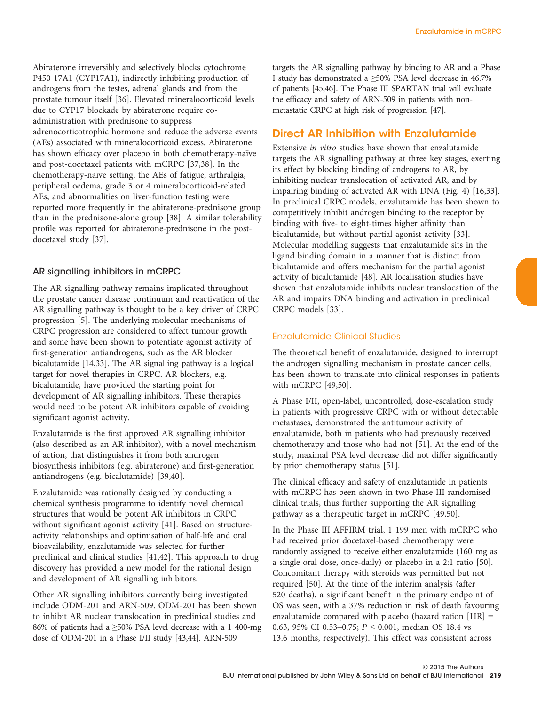Abiraterone irreversibly and selectively blocks cytochrome P450 17A1 (CYP17A1), indirectly inhibiting production of androgens from the testes, adrenal glands and from the prostate tumour itself [36]. Elevated mineralocorticoid levels due to CYP17 blockade by abiraterone require coadministration with prednisone to suppress adrenocorticotrophic hormone and reduce the adverse events (AEs) associated with mineralocorticoid excess. Abiraterone has shown efficacy over placebo in both chemotherapy-naïve and post-docetaxel patients with mCRPC [37,38]. In the chemotherapy-naïve setting, the AEs of fatigue, arthralgia, peripheral oedema, grade 3 or 4 mineralocorticoid-related AEs, and abnormalities on liver-function testing were reported more frequently in the abiraterone-prednisone group than in the prednisone-alone group [38]. A similar tolerability profile was reported for abiraterone-prednisone in the postdocetaxel study [37].

#### AR signalling inhibitors in mCRPC

The AR signalling pathway remains implicated throughout the prostate cancer disease continuum and reactivation of the AR signalling pathway is thought to be a key driver of CRPC progression [5]. The underlying molecular mechanisms of CRPC progression are considered to affect tumour growth and some have been shown to potentiate agonist activity of first-generation antiandrogens, such as the AR blocker bicalutamide [14,33]. The AR signalling pathway is a logical target for novel therapies in CRPC. AR blockers, e.g. bicalutamide, have provided the starting point for development of AR signalling inhibitors. These therapies would need to be potent AR inhibitors capable of avoiding significant agonist activity.

Enzalutamide is the first approved AR signalling inhibitor (also described as an AR inhibitor), with a novel mechanism of action, that distinguishes it from both androgen biosynthesis inhibitors (e.g. abiraterone) and first-generation antiandrogens (e.g. bicalutamide) [39,40].

Enzalutamide was rationally designed by conducting a chemical synthesis programme to identify novel chemical structures that would be potent AR inhibitors in CRPC without significant agonist activity [41]. Based on structureactivity relationships and optimisation of half-life and oral bioavailability, enzalutamide was selected for further preclinical and clinical studies [41,42]. This approach to drug discovery has provided a new model for the rational design and development of AR signalling inhibitors.

Other AR signalling inhibitors currently being investigated include ODM-201 and ARN-509. ODM-201 has been shown to inhibit AR nuclear translocation in preclinical studies and 86% of patients had a ≥50% PSA level decrease with a 1 400-mg dose of ODM-201 in a Phase I/II study [43,44]. ARN-509

targets the AR signalling pathway by binding to AR and a Phase I study has demonstrated a ≥50% PSA level decrease in 46.7% of patients [45,46]. The Phase III SPARTAN trial will evaluate the efficacy and safety of ARN-509 in patients with nonmetastatic CRPC at high risk of progression [47].

### Direct AR Inhibition with Enzalutamide

Extensive in vitro studies have shown that enzalutamide targets the AR signalling pathway at three key stages, exerting its effect by blocking binding of androgens to AR, by inhibiting nuclear translocation of activated AR, and by impairing binding of activated AR with DNA (Fig. 4) [16,33]. In preclinical CRPC models, enzalutamide has been shown to competitively inhibit androgen binding to the receptor by binding with five- to eight-times higher affinity than bicalutamide, but without partial agonist activity [33]. Molecular modelling suggests that enzalutamide sits in the ligand binding domain in a manner that is distinct from bicalutamide and offers mechanism for the partial agonist activity of bicalutamide [48]. AR localisation studies have shown that enzalutamide inhibits nuclear translocation of the AR and impairs DNA binding and activation in preclinical CRPC models [33].

#### Enzalutamide Clinical Studies

The theoretical benefit of enzalutamide, designed to interrupt the androgen signalling mechanism in prostate cancer cells, has been shown to translate into clinical responses in patients with mCRPC [49,50].

A Phase I/II, open-label, uncontrolled, dose-escalation study in patients with progressive CRPC with or without detectable metastases, demonstrated the antitumour activity of enzalutamide, both in patients who had previously received chemotherapy and those who had not [51]. At the end of the study, maximal PSA level decrease did not differ significantly by prior chemotherapy status [51].

The clinical efficacy and safety of enzalutamide in patients with mCRPC has been shown in two Phase III randomised clinical trials, thus further supporting the AR signalling pathway as a therapeutic target in mCRPC [49,50].

In the Phase III AFFIRM trial, 1 199 men with mCRPC who had received prior docetaxel-based chemotherapy were randomly assigned to receive either enzalutamide (160 mg as a single oral dose, once-daily) or placebo in a 2:1 ratio [50]. Concomitant therapy with steroids was permitted but not required [50]. At the time of the interim analysis (after 520 deaths), a significant benefit in the primary endpoint of OS was seen, with a 37% reduction in risk of death favouring enzalutamide compared with placebo (hazard ration [HR] = 0.63, 95% CI 0.53–0.75; P < 0.001, median OS 18.4 vs 13.6 months, respectively). This effect was consistent across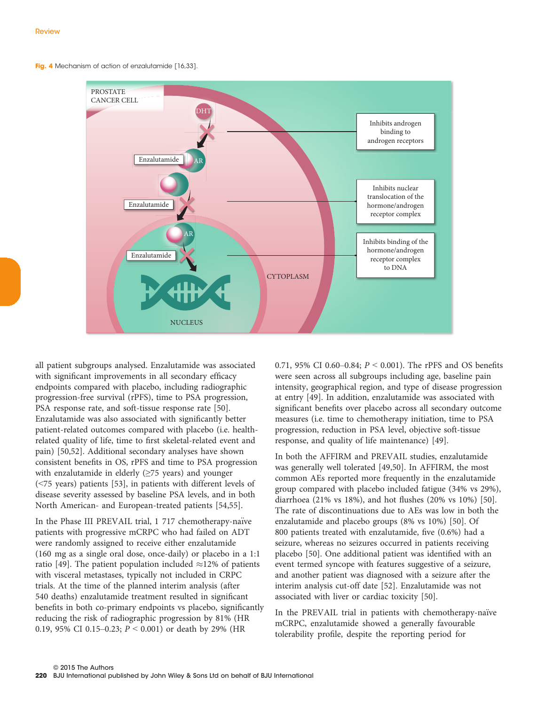

all patient subgroups analysed. Enzalutamide was associated with significant improvements in all secondary efficacy endpoints compared with placebo, including radiographic progression-free survival (rPFS), time to PSA progression, PSA response rate, and soft-tissue response rate [50]. Enzalutamide was also associated with significantly better patient-related outcomes compared with placebo (i.e. healthrelated quality of life, time to first skeletal-related event and pain) [50,52]. Additional secondary analyses have shown consistent benefits in OS, rPFS and time to PSA progression with enzalutamide in elderly (≥75 years) and younger (<75 years) patients [53], in patients with different levels of disease severity assessed by baseline PSA levels, and in both North American- and European-treated patients [54,55].

In the Phase III PREVAIL trial, 1 717 chemotherapy-naïve patients with progressive mCRPC who had failed on ADT were randomly assigned to receive either enzalutamide (160 mg as a single oral dose, once-daily) or placebo in a 1:1 ratio [49]. The patient population included  $\approx$ 12% of patients with visceral metastases, typically not included in CRPC trials. At the time of the planned interim analysis (after 540 deaths) enzalutamide treatment resulted in significant benefits in both co-primary endpoints vs placebo, significantly reducing the risk of radiographic progression by 81% (HR 0.19, 95% CI 0.15–0.23;  $P < 0.001$ ) or death by 29% (HR

0.71, 95% CI 0.60–0.84;  $P < 0.001$ ). The rPFS and OS benefits were seen across all subgroups including age, baseline pain intensity, geographical region, and type of disease progression at entry [49]. In addition, enzalutamide was associated with significant benefits over placebo across all secondary outcome measures (i.e. time to chemotherapy initiation, time to PSA progression, reduction in PSA level, objective soft-tissue response, and quality of life maintenance) [49].

In both the AFFIRM and PREVAIL studies, enzalutamide was generally well tolerated [49,50]. In AFFIRM, the most common AEs reported more frequently in the enzalutamide group compared with placebo included fatigue (34% vs 29%), diarrhoea (21% vs 18%), and hot flushes (20% vs 10%) [50]. The rate of discontinuations due to AEs was low in both the enzalutamide and placebo groups (8% vs 10%) [50]. Of 800 patients treated with enzalutamide, five (0.6%) had a seizure, whereas no seizures occurred in patients receiving placebo [50]. One additional patient was identified with an event termed syncope with features suggestive of a seizure, and another patient was diagnosed with a seizure after the interim analysis cut-off date [52]. Enzalutamide was not associated with liver or cardiac toxicity [50].

In the PREVAIL trial in patients with chemotherapy-naïve mCRPC, enzalutamide showed a generally favourable tolerability profile, despite the reporting period for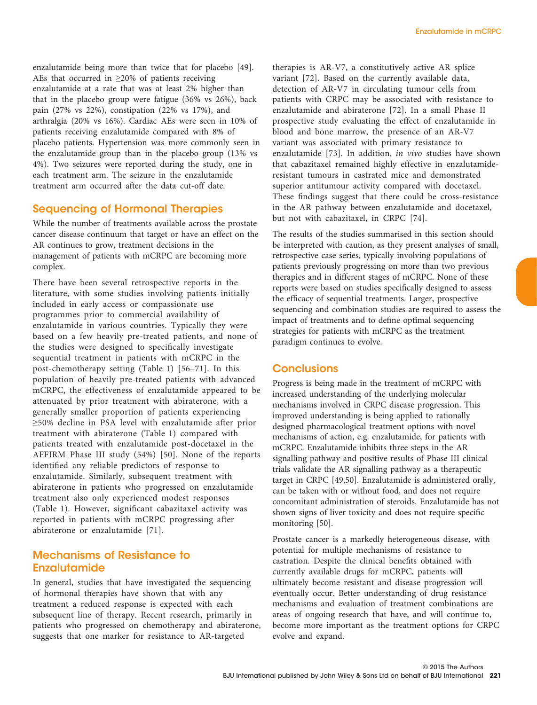enzalutamide being more than twice that for placebo [49]. AEs that occurred in  $\geq$ 20% of patients receiving enzalutamide at a rate that was at least 2% higher than that in the placebo group were fatigue (36% vs 26%), back pain (27% vs 22%), constipation (22% vs 17%), and arthralgia (20% vs 16%). Cardiac AEs were seen in 10% of patients receiving enzalutamide compared with 8% of placebo patients. Hypertension was more commonly seen in the enzalutamide group than in the placebo group (13% vs 4%). Two seizures were reported during the study, one in each treatment arm. The seizure in the enzalutamide treatment arm occurred after the data cut-off date.

#### Sequencing of Hormonal Therapies

While the number of treatments available across the prostate cancer disease continuum that target or have an effect on the AR continues to grow, treatment decisions in the management of patients with mCRPC are becoming more complex.

There have been several retrospective reports in the literature, with some studies involving patients initially included in early access or compassionate use programmes prior to commercial availability of enzalutamide in various countries. Typically they were based on a few heavily pre-treated patients, and none of the studies were designed to specifically investigate sequential treatment in patients with mCRPC in the post-chemotherapy setting (Table 1) [56–71]. In this population of heavily pre-treated patients with advanced mCRPC, the effectiveness of enzalutamide appeared to be attenuated by prior treatment with abiraterone, with a generally smaller proportion of patients experiencing ≥50% decline in PSA level with enzalutamide after prior treatment with abiraterone (Table 1) compared with patients treated with enzalutamide post-docetaxel in the AFFIRM Phase III study (54%) [50]. None of the reports identified any reliable predictors of response to enzalutamide. Similarly, subsequent treatment with abiraterone in patients who progressed on enzalutamide treatment also only experienced modest responses (Table 1). However, significant cabazitaxel activity was reported in patients with mCRPC progressing after abiraterone or enzalutamide [71].

#### Mechanisms of Resistance to **Enzalutamide**

In general, studies that have investigated the sequencing of hormonal therapies have shown that with any treatment a reduced response is expected with each subsequent line of therapy. Recent research, primarily in patients who progressed on chemotherapy and abiraterone, suggests that one marker for resistance to AR-targeted

therapies is AR-V7, a constitutively active AR splice variant [72]. Based on the currently available data, detection of AR-V7 in circulating tumour cells from patients with CRPC may be associated with resistance to enzalutamide and abiraterone [72]. In a small Phase II prospective study evaluating the effect of enzalutamide in blood and bone marrow, the presence of an AR-V7 variant was associated with primary resistance to enzalutamide [73]. In addition, in vivo studies have shown that cabazitaxel remained highly effective in enzalutamideresistant tumours in castrated mice and demonstrated superior antitumour activity compared with docetaxel. These findings suggest that there could be cross-resistance in the AR pathway between enzalutamide and docetaxel, but not with cabazitaxel, in CRPC [74].

The results of the studies summarised in this section should be interpreted with caution, as they present analyses of small, retrospective case series, typically involving populations of patients previously progressing on more than two previous therapies and in different stages of mCRPC. None of these reports were based on studies specifically designed to assess the efficacy of sequential treatments. Larger, prospective sequencing and combination studies are required to assess the impact of treatments and to define optimal sequencing strategies for patients with mCRPC as the treatment paradigm continues to evolve.

#### **Conclusions**

Progress is being made in the treatment of mCRPC with increased understanding of the underlying molecular mechanisms involved in CRPC disease progression. This improved understanding is being applied to rationally designed pharmacological treatment options with novel mechanisms of action, e.g. enzalutamide, for patients with mCRPC. Enzalutamide inhibits three steps in the AR signalling pathway and positive results of Phase III clinical trials validate the AR signalling pathway as a therapeutic target in CRPC [49,50]. Enzalutamide is administered orally, can be taken with or without food, and does not require concomitant administration of steroids. Enzalutamide has not shown signs of liver toxicity and does not require specific monitoring [50].

Prostate cancer is a markedly heterogeneous disease, with potential for multiple mechanisms of resistance to castration. Despite the clinical benefits obtained with currently available drugs for mCRPC, patients will ultimately become resistant and disease progression will eventually occur. Better understanding of drug resistance mechanisms and evaluation of treatment combinations are areas of ongoing research that have, and will continue to, become more important as the treatment options for CRPC evolve and expand.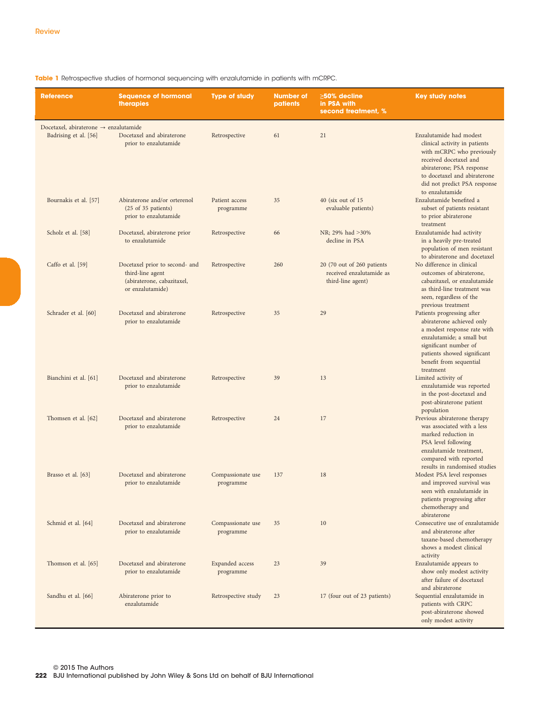| <b>Reference</b>                                  | <b>Sequence of hormonal</b><br><b>therapies</b>                                                      | <b>Type of study</b>           | <b>Number of</b><br>patients | $\geq$ 50% decline<br>in PSA with<br>second treatment, %                    | <b>Key study notes</b>                                                                                                                                                                                                                    |  |  |  |
|---------------------------------------------------|------------------------------------------------------------------------------------------------------|--------------------------------|------------------------------|-----------------------------------------------------------------------------|-------------------------------------------------------------------------------------------------------------------------------------------------------------------------------------------------------------------------------------------|--|--|--|
| Docetaxel, abiraterone $\rightarrow$ enzalutamide |                                                                                                      |                                |                              |                                                                             |                                                                                                                                                                                                                                           |  |  |  |
| Badrising et al. [56]                             | Docetaxel and abiraterone<br>prior to enzalutamide                                                   | Retrospective                  | 61                           | 21                                                                          | Enzalutamide had modest<br>clinical activity in patients<br>with mCRPC who previously<br>received docetaxel and<br>abiraterone; PSA response<br>to docetaxel and abiraterone<br>did not predict PSA response<br>to enzalutamide           |  |  |  |
| Bournakis et al. [57]                             | Abiraterone and/or orterenol<br>$(25 \text{ of } 35 \text{ patients})$<br>prior to enzalutamide      | Patient access<br>programme    | 35                           | 40 (six out of 15<br>evaluable patients)                                    | Enzalutamide benefited a<br>subset of patients resistant<br>to prior abiraterone<br>treatment                                                                                                                                             |  |  |  |
| Scholz et al. [58]                                | Docetaxel, abiraterone prior<br>to enzalutamide                                                      | Retrospective                  | 66                           | NR; 29% had > 30%<br>decline in PSA                                         | Enzalutamide had activity<br>in a heavily pre-treated<br>population of men resistant<br>to abiraterone and docetaxel                                                                                                                      |  |  |  |
| Caffo et al. [59]                                 | Docetaxel prior to second- and<br>third-line agent<br>(abiraterone, cabazitaxel,<br>or enzalutamide) | Retrospective                  | 260                          | 20 (70 out of 260 patients<br>received enzalutamide as<br>third-line agent) | No difference in clinical<br>outcomes of abiraterone,<br>cabazitaxel, or enzalutamide<br>as third-line treatment was<br>seen, regardless of the                                                                                           |  |  |  |
| Schrader et al. [60]                              | Docetaxel and abiraterone<br>prior to enzalutamide                                                   | Retrospective                  | 35                           | 29                                                                          | previous treatment<br>Patients progressing after<br>abiraterone achieved only<br>a modest response rate with<br>enzalutamide; a small but<br>significant number of<br>patients showed significant<br>benefit from sequential<br>treatment |  |  |  |
| Bianchini et al. [61]                             | Docetaxel and abiraterone<br>prior to enzalutamide                                                   | Retrospective                  | 39                           | 13                                                                          | Limited activity of<br>enzalutamide was reported<br>in the post-docetaxel and<br>post-abiraterone patient<br>population                                                                                                                   |  |  |  |
| Thomsen et al. [62]                               | Docetaxel and abiraterone<br>prior to enzalutamide                                                   | Retrospective                  | 24                           | 17                                                                          | Previous abiraterone therapy<br>was associated with a less<br>marked reduction in<br>PSA level following<br>enzalutamide treatment,<br>compared with reported<br>results in randomised studies                                            |  |  |  |
| Brasso et al. [63]                                | Docetaxel and abiraterone<br>prior to enzalutamide                                                   | Compassionate use<br>programme | 137                          | 18                                                                          | Modest PSA level responses<br>and improved survival was<br>seen with enzalutamide in<br>patients progressing after<br>chemotherapy and<br>abiraterone                                                                                     |  |  |  |
| Schmid et al. [64]                                | Docetaxel and abiraterone<br>prior to enzalutamide                                                   | Compassionate use<br>programme | 35                           | 10                                                                          | Consecutive use of enzalutamide<br>and abiraterone after<br>taxane-based chemotherapy<br>shows a modest clinical<br>activity                                                                                                              |  |  |  |
| Thomson et al. [65]                               | Docetaxel and abiraterone<br>prior to enzalutamide                                                   | Expanded access<br>programme   | 23                           | 39                                                                          | Enzalutamide appears to<br>show only modest activity<br>after failure of docetaxel<br>and abiraterone                                                                                                                                     |  |  |  |
| Sandhu et al. [66]                                | Abiraterone prior to<br>enzalutamide                                                                 | Retrospective study            | 23                           | 17 (four out of 23 patients)                                                | Sequential enzalutamide in<br>patients with CRPC<br>post-abiraterone showed<br>only modest activity                                                                                                                                       |  |  |  |

Table 1 Retrospective studies of hormonal sequencing with enzalutamide in patients with mCRPC.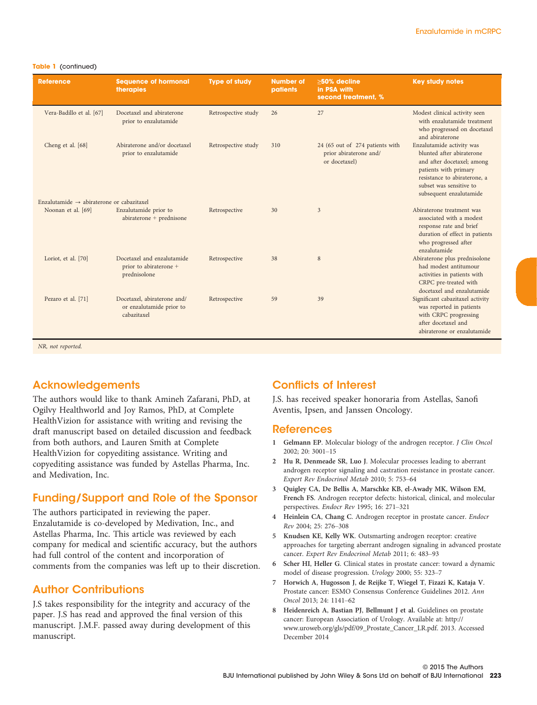#### Table 1 (continued)

| <b>Reference</b>                                                            | <b>Sequence of hormonal</b><br>therapies                               | <b>Type of study</b> | <b>Number of</b><br>patients | >50% decline<br>in PSA with<br>second treatment, %                         | <b>Key study notes</b>                                                                                                                                                                              |
|-----------------------------------------------------------------------------|------------------------------------------------------------------------|----------------------|------------------------------|----------------------------------------------------------------------------|-----------------------------------------------------------------------------------------------------------------------------------------------------------------------------------------------------|
| Vera-Badillo et al. [67]                                                    | Docetaxel and abiraterone<br>prior to enzalutamide                     | Retrospective study  | 26                           | 27                                                                         | Modest clinical activity seen<br>with enzalutamide treatment<br>who progressed on docetaxel<br>and abiraterone                                                                                      |
| Cheng et al. [68]                                                           | Abiraterone and/or docetaxel<br>prior to enzalutamide                  | Retrospective study  | 310                          | 24 (65 out of 274 patients with<br>prior abiraterone and/<br>or docetaxel) | Enzalutamide activity was<br>blunted after abiraterone<br>and after docetaxel; among<br>patients with primary<br>resistance to abiraterone, a<br>subset was sensitive to<br>subsequent enzalutamide |
| Enzalutamide $\rightarrow$ abiraterone or cabazitaxel<br>Noonan et al. [69] | Enzalutamide prior to                                                  | Retrospective        | 30                           | 3                                                                          | Abiraterone treatment was                                                                                                                                                                           |
|                                                                             | abiraterone + prednisone                                               |                      |                              |                                                                            | associated with a modest<br>response rate and brief<br>duration of effect in patients<br>who progressed after<br>enzalutamide                                                                       |
| Loriot, et al. [70]                                                         | Docetaxel and enzalutamide<br>prior to abiraterone +<br>prednisolone   | Retrospective        | 38                           | 8                                                                          | Abiraterone plus prednisolone<br>had modest antitumour<br>activities in patients with<br>CRPC pre-treated with<br>docetaxel and enzalutamide                                                        |
| Pezaro et al. [71]                                                          | Docetaxel, abiraterone and/<br>or enzalutamide prior to<br>cabazitaxel | Retrospective        | 59                           | 39                                                                         | Significant cabazitaxel activity<br>was reported in patients<br>with CRPC progressing<br>after docetaxel and<br>abiraterone or enzalutamide                                                         |
| NR, not reported.                                                           |                                                                        |                      |                              |                                                                            |                                                                                                                                                                                                     |

## Acknowledgements

The authors would like to thank Amineh Zafarani, PhD, at Ogilvy Healthworld and Joy Ramos, PhD, at Complete HealthVizion for assistance with writing and revising the draft manuscript based on detailed discussion and feedback from both authors, and Lauren Smith at Complete HealthVizion for copyediting assistance. Writing and copyediting assistance was funded by Astellas Pharma, Inc. and Medivation, Inc.

#### Funding/Support and Role of the Sponsor

The authors participated in reviewing the paper. Enzalutamide is co-developed by Medivation, Inc., and Astellas Pharma, Inc. This article was reviewed by each company for medical and scientific accuracy, but the authors had full control of the content and incorporation of comments from the companies was left up to their discretion.

## Author Contributions

J.S takes responsibility for the integrity and accuracy of the paper. J.S has read and approved the final version of this manuscript. J.M.F. passed away during development of this manuscript.

## Conflicts of Interest

J.S. has received speaker honoraria from Astellas, Sanofi Aventis, Ipsen, and Janssen Oncology.

#### **References**

- 1 Gelmann EP. Molecular biology of the androgen receptor. J Clin Oncol 2002; 20: 3001–15
- 2 Hu R, Denmeade SR, Luo J. Molecular processes leading to aberrant androgen receptor signaling and castration resistance in prostate cancer. Expert Rev Endocrinol Metab 2010; 5: 753–64
- 3 Quigley CA, De Bellis A, Marschke KB, el-Awady MK, Wilson EM, French FS. Androgen receptor defects: historical, clinical, and molecular perspectives. Endocr Rev 1995; 16: 271–321
- Heinlein CA, Chang C. Androgen receptor in prostate cancer. Endocr Rev 2004; 25: 276–308
- 5 Knudsen KE, Kelly WK. Outsmarting androgen receptor: creative approaches for targeting aberrant androgen signaling in advanced prostate cancer. Expert Rev Endocrinol Metab 2011; 6: 483–93
- 6 Scher HI, Heller G. Clinical states in prostate cancer: toward a dynamic model of disease progression. Urology 2000; 55: 323–7
- 7 Horwich A, Hugosson J, de Reijke T, Wiegel T, Fizazi K, Kataja V. Prostate cancer: ESMO Consensus Conference Guidelines 2012. Ann Oncol 2013; 24: 1141–62
- 8 Heidenreich A, Bastian PJ, Bellmunt J et al. Guidelines on prostate cancer: European Association of Urology. Available at: [http://](http://www.uroweb.org/gls/pdf/09_Prostate_Cancer_LR.pdf) [www.uroweb.org/gls/pdf/09\\_Prostate\\_Cancer\\_LR.pdf](http://www.uroweb.org/gls/pdf/09_Prostate_Cancer_LR.pdf). 2013. Accessed December 2014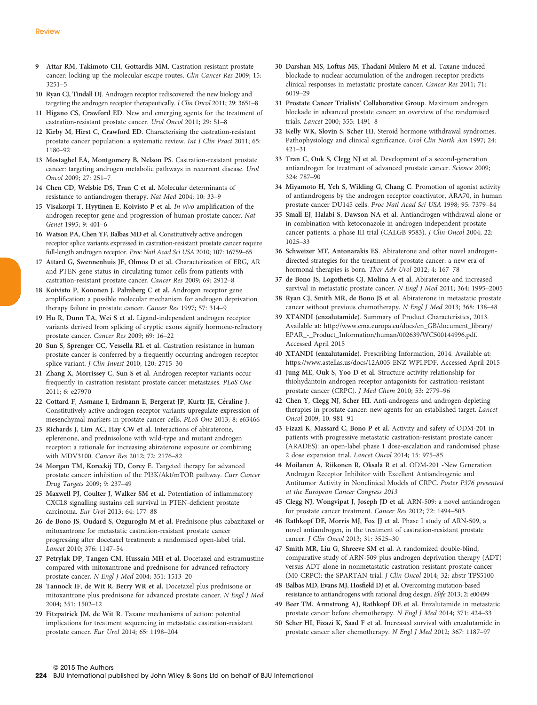- 9 Attar RM, Takimoto CH, Gottardis MM. Castration-resistant prostate cancer: locking up the molecular escape routes. Clin Cancer Res 2009; 15: 3251–5
- 10 Ryan CJ, Tindall DJ. Androgen receptor rediscovered: the new biology and targeting the androgen receptor therapeutically. J Clin Oncol 2011; 29: 3651–8
- 11 Higano CS, Crawford ED. New and emerging agents for the treatment of castration-resistant prostate cancer. Urol Oncol 2011; 29: S1–8
- 12 Kirby M, Hirst C, Crawford ED. Characterising the castration-resistant prostate cancer population: a systematic review. Int J Clin Pract 2011; 65: 1180–92
- 13 Mostaghel EA, Montgomery B, Nelson PS. Castration-resistant prostate cancer: targeting androgen metabolic pathways in recurrent disease. Urol Oncol 2009; 27: 251–7
- 14 Chen CD, Welsbie DS, Tran C et al. Molecular determinants of resistance to antiandrogen therapy. Nat Med 2004; 10: 33–9
- 15 Visakorpi T, Hyytinen E, Koivisto P et al. In vivo amplification of the androgen receptor gene and progression of human prostate cancer. Nat Genet 1995; 9: 401–6
- 16 Watson PA, Chen YF, Balbas MD et al. Constitutively active androgen receptor splice variants expressed in castration-resistant prostate cancer require full-length androgen receptor. Proc Natl Acad Sci USA 2010; 107: 16759–65
- 17 Attard G, Swennenhuis JF, Olmos D et al. Characterization of ERG, AR and PTEN gene status in circulating tumor cells from patients with castration-resistant prostate cancer. Cancer Res 2009; 69: 2912–8
- 18 Koivisto P, Kononen J, Palmberg C et al. Androgen receptor gene amplification: a possible molecular mechanism for androgen deprivation therapy failure in prostate cancer. Cancer Res 1997; 57: 314–9
- 19 Hu R, Dunn TA, Wei S et al. Ligand-independent androgen receptor variants derived from splicing of cryptic exons signify hormone-refractory prostate cancer. Cancer Res 2009; 69: 16–22
- 20 Sun S, Sprenger CC, Vessella RL et al. Castration resistance in human prostate cancer is conferred by a frequently occurring androgen receptor splice variant. J Clin Invest 2010; 120: 2715–30
- 21 Zhang X, Morrissey C, Sun S et al. Androgen receptor variants occur frequently in castration resistant prostate cancer metastases. PLoS One 2011; 6: e27970
- 22 Cottard F, Asmane I, Erdmann E, Bergerat JP, Kurtz JE, Céraline J. Constitutively active androgen receptor variants upregulate expression of mesenchymal markers in prostate cancer cells. PLoS One 2013; 8: e63466
- 23 Richards J, Lim AC, Hay CW et al. Interactions of abiraterone, eplerenone, and prednisolone with wild-type and mutant androgen receptor: a rationale for increasing abiraterone exposure or combining with MDV3100. Cancer Res 2012; 72: 2176–82
- 24 Morgan TM, Koreckij TD, Corey E. Targeted therapy for advanced prostate cancer: inhibition of the PI3K/Akt/mTOR pathway. Curr Cancer Drug Targets 2009; 9: 237–49
- 25 Maxwell PJ, Coulter J, Walker SM et al. Potentiation of inflammatory CXCL8 signalling sustains cell survival in PTEN-deficient prostate carcinoma. Eur Urol 2013; 64: 177–88
- 26 de Bono JS, Oudard S, Ozguroglu M et al. Prednisone plus cabazitaxel or mitoxantrone for metastatic castration-resistant prostate cancer progressing after docetaxel treatment: a randomised open-label trial. Lancet 2010; 376: 1147–54
- 27 Petrylak DP, Tangen CM, Hussain MH et al. Docetaxel and estramustine compared with mitoxantrone and prednisone for advanced refractory prostate cancer. N Engl J Med 2004; 351: 1513–20
- 28 Tannock IF, de Wit R, Berry WR et al. Docetaxel plus prednisone or mitoxantrone plus prednisone for advanced prostate cancer. N Engl J Med 2004; 351: 1502–12
- 29 Fitzpatrick JM, de Wit R. Taxane mechanisms of action: potential implications for treatment sequencing in metastatic castration-resistant prostate cancer. Eur Urol 2014; 65: 1198–204
- 30 Darshan MS, Loftus MS, Thadani-Mulero M et al. Taxane-induced blockade to nuclear accumulation of the androgen receptor predicts clinical responses in metastatic prostate cancer. Cancer Res 2011; 71: 6019–29
- 31 Prostate Cancer Trialists' Collaborative Group. Maximum androgen blockade in advanced prostate cancer: an overview of the randomised trials. Lancet 2000; 355: 1491–8
- 32 Kelly WK, Slovin S, Scher HI. Steroid hormone withdrawal syndromes. Pathophysiology and clinical significance. Urol Clin North Am 1997; 24: 421–31
- 33 Tran C, Ouk S, Clegg NJ et al. Development of a second-generation antiandrogen for treatment of advanced prostate cancer. Science 2009; 324: 787–90
- 34 Miyamoto H, Yeh S, Wilding G, Chang C. Promotion of agonist activity of antiandrogens by the androgen receptor coactivator, ARA70, in human prostate cancer DU145 cells. Proc Natl Acad Sci USA 1998; 95: 7379–84
- 35 Small EJ, Halabi S, Dawson NA et al. Antiandrogen withdrawal alone or in combination with ketoconazole in androgen-independent prostate cancer patients: a phase III trial (CALGB 9583). J Clin Oncol 2004; 22: 1025–33
- 36 Schweizer MT, Antonarakis ES. Abiraterone and other novel androgendirected strategies for the treatment of prostate cancer: a new era of hormonal therapies is born. Ther Adv Urol 2012; 4: 167–78
- 37 de Bono JS, Logothetis CJ, Molina A et al. Abiraterone and increased survival in metastatic prostate cancer. N Engl J Med 2011; 364: 1995–2005
- 38 Ryan CJ, Smith MR, de Bono JS et al. Abiraterone in metastatic prostate cancer without previous chemotherapy. N Engl J Med 2013; 368: 138–48
- 39 XTANDI (enzalutamide). Summary of Product Characteristics, 2013. Available at: [http://www.ema.europa.eu/docs/en\\_GB/document\\_library/](http://www.ema.europa.eu/docs/en_GB/document_library/EPAR_-_Product_Information/human/002639/WC500144996.pdf) [EPAR\\_-\\_Product\\_Information/human/002639/WC500144996.pdf.](http://www.ema.europa.eu/docs/en_GB/document_library/EPAR_-_Product_Information/human/002639/WC500144996.pdf) Accessed April 2015
- 40 XTANDI (enzalutamide). Prescribing Information, 2014. Available at: [https://www.astellas.us/docs/12A005-ENZ-WPI.PDF](Available at: https://www.astellas.us/docs/12A005-ENZ-WPI.PDF). Accessed April 2015
- 41 Jung ME, Ouk S, Yoo D et al. Structure-activity relationship for thiohydantoin androgen receptor antagonists for castration-resistant prostate cancer (CRPC). J Med Chem 2010; 53: 2779–96
- 42 Chen Y, Clegg NJ, Scher HI. Anti-androgens and androgen-depleting therapies in prostate cancer: new agents for an established target. Lancet Oncol 2009; 10: 981–91
- 43 Fizazi K, Massard C, Bono P et al. Activity and safety of ODM-201 in patients with progressive metastatic castration-resistant prostate cancer (ARADES): an open-label phase 1 dose-escalation and randomised phase 2 dose expansion trial. Lancet Oncol 2014; 15: 975–85
- 44 Moilanen A, Riikonen R, Oksala R et al. ODM-201 -New Generation Androgen Receptor Inhibitor with Excellent Antiandrogenic and Antitumor Activity in Nonclinical Models of CRPC. Poster P376 presented at the European Cancer Congress 2013
- 45 Clegg NJ, Wongvipat J, Joseph JD et al. ARN-509: a novel antiandrogen for prostate cancer treatment. Cancer Res 2012; 72: 1494–503
- 46 Rathkopf DE, Morris MJ, Fox JJ et al. Phase I study of ARN-509, a novel antiandrogen, in the treatment of castration-resistant prostate cancer. J Clin Oncol 2013; 31: 3525–30
- 47 Smith MR, Liu G, Shreeve SM et al. A randomized double-blind, comparative study of ARN-509 plus androgen deprivation therapy (ADT) versus ADT alone in nonmetastatic castration-resistant prostate cancer (M0-CRPC): the SPARTAN trial. J Clin Oncol 2014; 32: abstr TPS5100
- 48 Balbas MD, Evans MJ, Hosfield DJ et al. Overcoming mutation-based resistance to antiandrogens with rational drug design. Elife 2013; 2: e00499
- 49 Beer TM, Armstrong AJ, Rathkopf DE et al. Enzalutamide in metastatic prostate cancer before chemotherapy. N Engl J Med 2014; 371: 424–33
- 50 Scher HI, Fizazi K, Saad F et al. Increased survival with enzalutamide in prostate cancer after chemotherapy. N Engl J Med 2012; 367: 1187–97